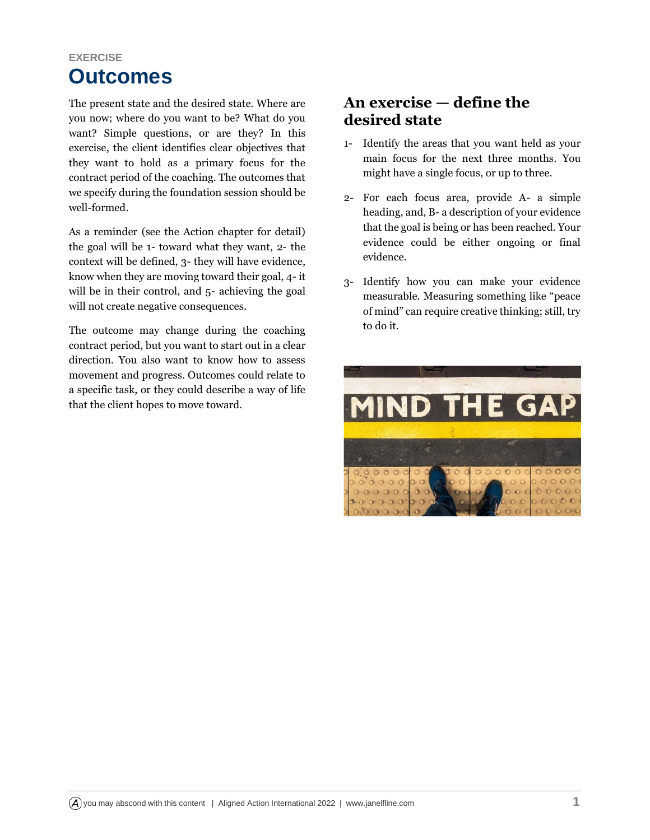# **EXERCISE Outcomes**

The present state and the desired state. Where are you now; where do you want to be? What do you want? Simple questions, or are they? In this exercise, the client identifies clear objectives that they want to hold as a primary focus for the contract period of the coaching. The outcomes that we specify during the foundation session should be well-formed.

As a reminder (see the Action chapter for detail) the goal will be 1- toward what they want, 2- the context will be defined, 3- they will have evidence, know when they are moving toward their goal, 4- it will be in their control, and 5- achieving the goal will not create negative consequences.

The outcome may change during the coaching contract period, but you want to start out in a clear direction. You also want to know how to assess movement and progress. Outcomes could relate to a specific task, or they could describe a way of life that the client hopes to move toward.

## **An exercise — define the desired state**

- 1- Identify the areas that you want held as your main focus for the next three months. You might have a single focus, or up to three.
- 2- For each focus area, provide A- a simple heading, and, B- a description of your evidence that the goal is being or has been reached. Your evidence could be either ongoing or final evidence.
- 3- Identify how you can make your evidence measurable. Measuring something like "peace of mind" can require creative thinking; still, try to do it.